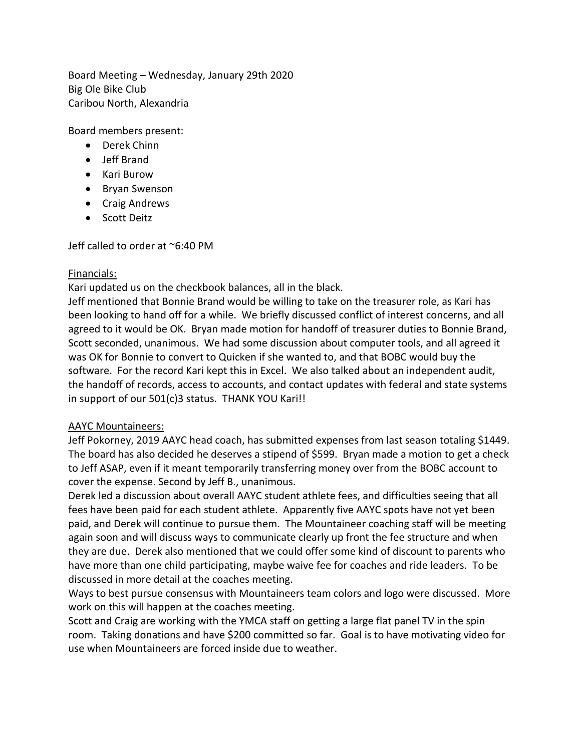Board Meeting – Wednesday, January 29th 2020 Big Ole Bike Club Caribou North, Alexandria

Board members present:

- Derek Chinn
- Jeff Brand
- Kari Burow
- Bryan Swenson
- Craig Andrews
- Scott Deitz

Jeff called to order at ~6:40 PM

# Financials:

Kari updated us on the checkbook balances, all in the black.

Jeff mentioned that Bonnie Brand would be willing to take on the treasurer role, as Kari has been looking to hand off for a while. We briefly discussed conflict of interest concerns, and all agreed to it would be OK. Bryan made motion for handoff of treasurer duties to Bonnie Brand, Scott seconded, unanimous. We had some discussion about computer tools, and all agreed it was OK for Bonnie to convert to Quicken if she wanted to, and that BOBC would buy the software. For the record Kari kept this in Excel. We also talked about an independent audit, the handoff of records, access to accounts, and contact updates with federal and state systems in support of our 501(c)3 status. THANK YOU Kari!!

# AAYC Mountaineers:

Jeff Pokorney, 2019 AAYC head coach, has submitted expenses from last season totaling \$1449. The board has also decided he deserves a stipend of \$599. Bryan made a motion to get a check to Jeff ASAP, even if it meant temporarily transferring money over from the BOBC account to cover the expense. Second by Jeff B., unanimous.

Derek led a discussion about overall AAYC student athlete fees, and difficulties seeing that all fees have been paid for each student athlete. Apparently five AAYC spots have not yet been paid, and Derek will continue to pursue them. The Mountaineer coaching staff will be meeting again soon and will discuss ways to communicate clearly up front the fee structure and when they are due. Derek also mentioned that we could offer some kind of discount to parents who have more than one child participating, maybe waive fee for coaches and ride leaders. To be discussed in more detail at the coaches meeting.

Ways to best pursue consensus with Mountaineers team colors and logo were discussed. More work on this will happen at the coaches meeting.

Scott and Craig are working with the YMCA staff on getting a large flat panel TV in the spin room. Taking donations and have \$200 committed so far. Goal is to have motivating video for use when Mountaineers are forced inside due to weather.